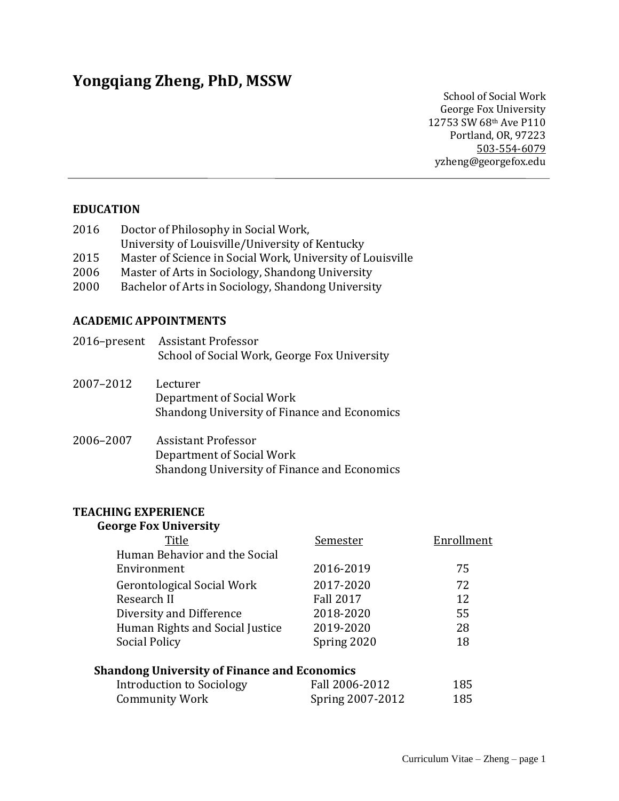# **Yongqiang Zheng, PhD, MSSW**

School of Social Work George Fox University 12753 SW 68th Ave P110 Portland, OR, 97223 503-554-6079 yzheng@georgefox.edu

# **EDUCATION**

| 2016 | Doctor of Philosophy in Social Work,                       |
|------|------------------------------------------------------------|
|      | University of Louisville/University of Kentucky            |
| 2015 | Master of Science in Social Work, University of Louisville |
| 2006 | Master of Arts in Sociology, Shandong University           |

2000 Bachelor of Arts in Sociology, Shandong University

## **ACADEMIC APPOINTMENTS**

| 2016-present | <b>Assistant Professor</b><br>School of Social Work, George Fox University                       |
|--------------|--------------------------------------------------------------------------------------------------|
| 2007-2012    | Lecturer<br>Department of Social Work<br>Shandong University of Finance and Economics            |
| 2006-2007    | Assistant Professor<br>Department of Social Work<br>Shandong University of Finance and Economics |

## **TEACHING EXPERIENCE**

## **George Fox University**

| Title                                               | <b>Semester</b>  | Enrollment |
|-----------------------------------------------------|------------------|------------|
| Human Behavior and the Social                       |                  |            |
| Environment                                         | 2016-2019        | 75         |
| <b>Gerontological Social Work</b>                   | 2017-2020        | 72         |
| Research II                                         | <b>Fall 2017</b> | 12         |
| Diversity and Difference                            | 2018-2020        | 55         |
| Human Rights and Social Justice                     | 2019-2020        | 28         |
| Social Policy                                       | Spring 2020      | 18         |
| <b>Shandong University of Finance and Economics</b> |                  |            |
| <b>Introduction to Sociology</b>                    | Fall 2006-2012   | 185        |
| <b>Community Work</b>                               | Spring 2007-2012 | 185        |
|                                                     |                  |            |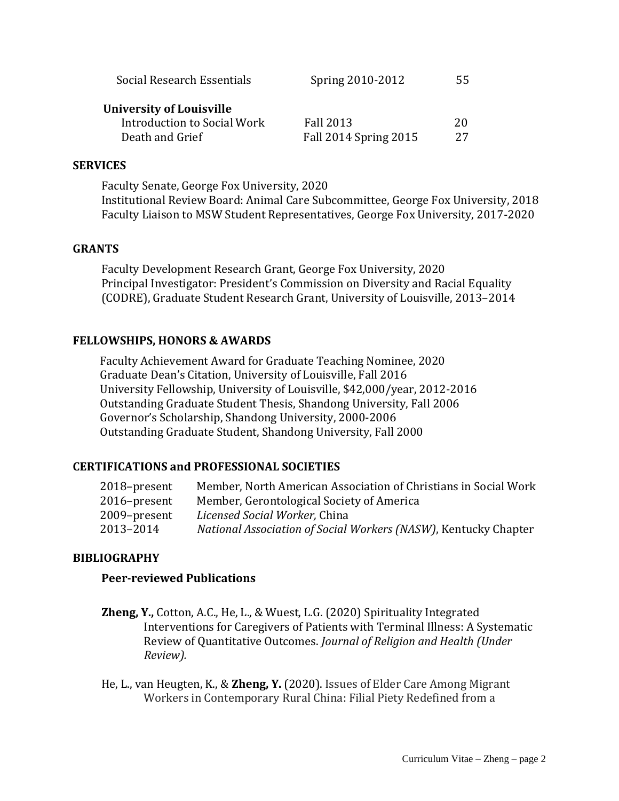| Social Research Essentials      | Spring 2010-2012      | 55 |  |
|---------------------------------|-----------------------|----|--|
| <b>University of Louisville</b> |                       |    |  |
| Introduction to Social Work     | Fall 2013             | 20 |  |
| Death and Grief                 | Fall 2014 Spring 2015 | 27 |  |

#### **SERVICES**

Faculty Senate, George Fox University, 2020 Institutional Review Board: Animal Care Subcommittee, George Fox University, 2018 Faculty Liaison to MSW Student Representatives, George Fox University, 2017-2020

#### **GRANTS**

Faculty Development Research Grant, George Fox University, 2020 Principal Investigator: President's Commission on Diversity and Racial Equality (CODRE), Graduate Student Research Grant, University of Louisville, 2013–2014

#### **FELLOWSHIPS, HONORS & AWARDS**

Faculty Achievement Award for Graduate Teaching Nominee, 2020 Graduate Dean's Citation, University of Louisville, Fall 2016 University Fellowship, University of Louisville, \$42,000/year, 2012-2016 Outstanding Graduate Student Thesis, Shandong University, Fall 2006 Governor's Scholarship, Shandong University, 2000-2006 Outstanding Graduate Student, Shandong University, Fall 2000

## **CERTIFICATIONS and PROFESSIONAL SOCIETIES**

| 2018–present | Member, North American Association of Christians in Social Work |
|--------------|-----------------------------------------------------------------|
| 2016–present | Member, Gerontological Society of America                       |
| 2009-present | Licensed Social Worker, China                                   |
| 2013–2014    | National Association of Social Workers (NASW), Kentucky Chapter |

#### **BIBLIOGRAPHY**

## **Peer-reviewed Publications**

- **Zheng, Y.,** Cotton, A.C., He, L., & Wuest, L.G. (2020) Spirituality Integrated Interventions for Caregivers of Patients with Terminal Illness: A Systematic Review of Quantitative Outcomes. *Journal of Religion and Health (Under Review).*
- He, L., van Heugten, K., & **Zheng, Y.** (2020). Issues of Elder Care Among Migrant Workers in Contemporary Rural China: Filial Piety Redefined from a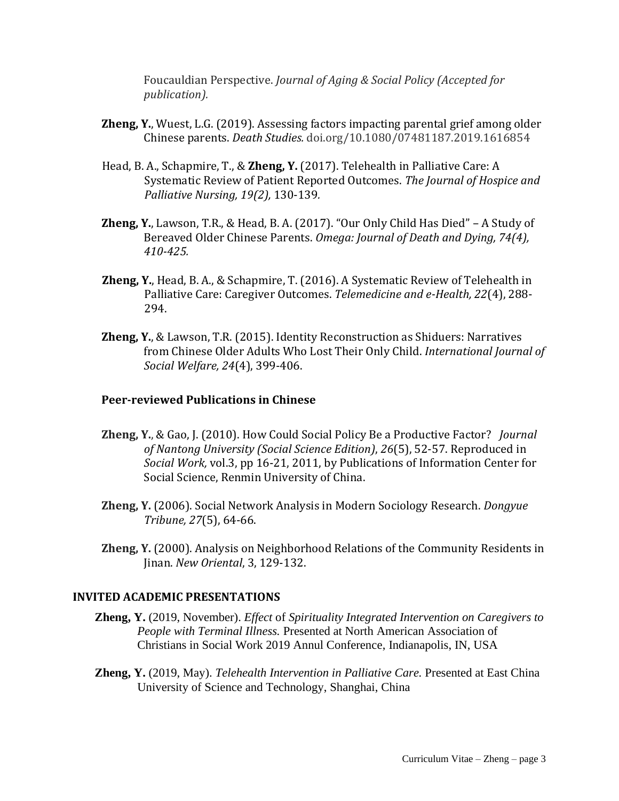Foucauldian Perspective. *Journal of Aging & Social Policy (Accepted for publication).*

- **Zheng, Y.**, Wuest, L.G. (2019). Assessing factors impacting parental grief among older Chinese parents. *Death Studies.* doi.org/10.1080/07481187.2019.1616854
- Head, B. A., Schapmire, T., & **Zheng, Y.** (2017). Telehealth in Palliative Care: A Systematic Review of Patient Reported Outcomes. *The Journal of Hospice and Palliative Nursing, 19(2),* 130-139*.*
- **Zheng, Y.**, Lawson, T.R., & Head, B. A. (2017). "Our Only Child Has Died" A Study of Bereaved Older Chinese Parents. *Omega: Journal of Death and Dying, 74(4), 410-425.*
- **Zheng, Y.**, Head, B. A., & Schapmire, T. (2016). A Systematic Review of Telehealth in Palliative Care: Caregiver Outcomes. *Telemedicine and e-Health, 22*(4), 288- 294.
- **Zheng, Y.**, & Lawson, T.R. (2015). Identity Reconstruction as Shiduers: Narratives from Chinese Older Adults Who Lost Their Only Child. *International Journal of Social Welfare, 24*(4), 399-406.

## **Peer-reviewed Publications in Chinese**

- **Zheng, Y.**, & Gao, J. (2010). How Could Social Policy Be a Productive Factor? *Journal of Nantong University (Social Science Edition)*, *26*(5), 52-57. Reproduced in *Social Work,* vol.3, pp 16-21, 2011, by Publications of Information Center for Social Science, Renmin University of China.
- **Zheng, Y.** (2006). Social Network Analysis in Modern Sociology Research. *Dongyue Tribune, 27*(5), 64-66.
- **Zheng, Y.** (2000). Analysis on Neighborhood Relations of the Community Residents in Jinan. *New Oriental*, 3, 129-132.

## **INVITED ACADEMIC PRESENTATIONS**

- **Zheng, Y.** (2019, November). *Effect* of *Spirituality Integrated Intervention on Caregivers to People with Terminal Illness.* Presented at North American Association of Christians in Social Work 2019 Annul Conference, Indianapolis, IN, USA
- **Zheng, Y.** (2019, May). *Telehealth Intervention in Palliative Care.* Presented at East China University of Science and Technology, Shanghai, China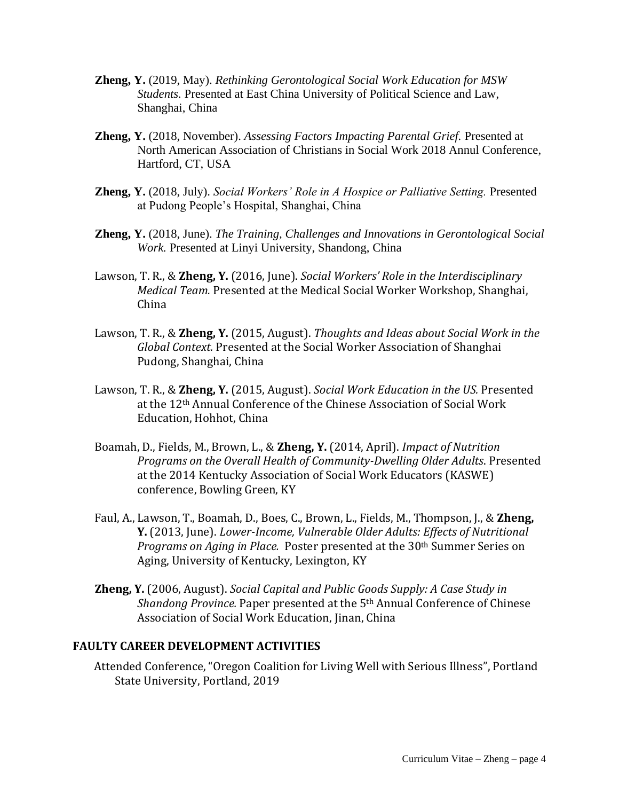- **Zheng, Y.** (2019, May). *Rethinking Gerontological Social Work Education for MSW Students.* Presented at East China University of Political Science and Law, Shanghai, China
- **Zheng, Y.** (2018, November). *Assessing Factors Impacting Parental Grief.* Presented at North American Association of Christians in Social Work 2018 Annul Conference, Hartford, CT, USA
- **Zheng, Y.** (2018, July). *Social Workers' Role in A Hospice or Palliative Setting.* Presented at Pudong People's Hospital, Shanghai, China
- **Zheng, Y.** (2018, June). *The Training, Challenges and Innovations in Gerontological Social Work.* Presented at Linyi University, Shandong, China
- Lawson, T. R., & **Zheng, Y.** (2016, June). *Social Workers' Role in the Interdisciplinary Medical Team.* Presented at the Medical Social Worker Workshop, Shanghai, China
- Lawson, T. R., & **Zheng, Y.** (2015, August). *Thoughts and Ideas about Social Work in the Global Context.* Presented at the Social Worker Association of Shanghai Pudong, Shanghai, China
- Lawson, T. R., & **Zheng, Y.** (2015, August). *Social Work Education in the US.* Presented at the 12th Annual Conference of the Chinese Association of Social Work Education, Hohhot, China
- Boamah, D., Fields, M., Brown, L., & **Zheng, Y.** (2014, April). *Impact of Nutrition Programs on the Overall Health of Community-Dwelling Older Adults*. Presented at the 2014 Kentucky Association of Social Work Educators (KASWE) conference, Bowling Green, KY
- Faul, A., Lawson, T., Boamah, D., Boes, C., Brown, L., Fields, M., Thompson, J., & **Zheng, Y.** (2013, June). *Lower-Income, Vulnerable Older Adults: Effects of Nutritional Programs on Aging in Place.* Poster presented at the 30<sup>th</sup> Summer Series on Aging, University of Kentucky, Lexington, KY
- **Zheng, Y.** (2006, August). *Social Capital and Public Goods Supply: A Case Study in Shandong Province.* Paper presented at the 5th Annual Conference of Chinese Association of Social Work Education, Jinan, China

## **FAULTY CAREER DEVELOPMENT ACTIVITIES**

Attended Conference, "Oregon Coalition for Living Well with Serious Illness", Portland State University, Portland, 2019